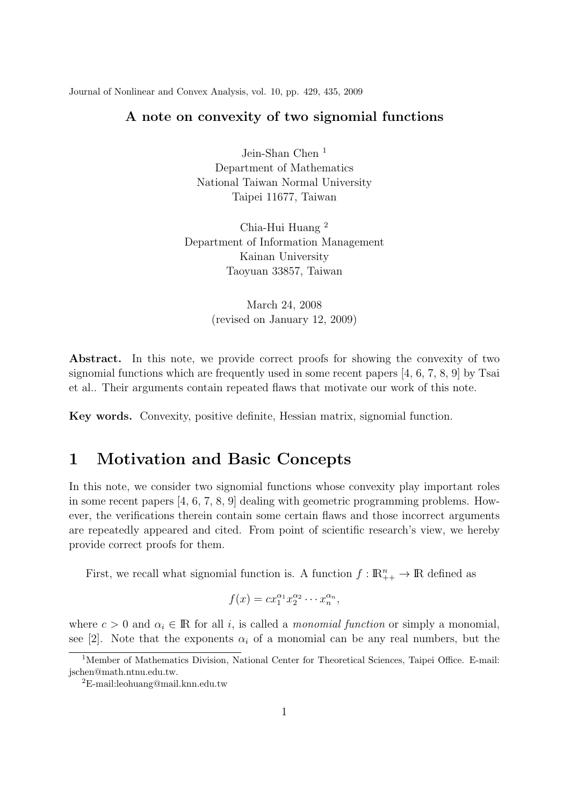Journal of Nonlinear and Convex Analysis, vol. 10, pp. 429, 435, 2009

## **A note on convexity of two signomial functions**

Jein-Shan Chen<sup>1</sup> Department of Mathematics National Taiwan Normal University Taipei 11677, Taiwan

Chia-Hui Huang <sup>2</sup> Department of Information Management Kainan University Taoyuan 33857, Taiwan

> March 24, 2008 (revised on January 12, 2009)

Abstract. In this note, we provide correct proofs for showing the convexity of two signomial functions which are frequently used in some recent papers [4, 6, 7, 8, 9] by Tsai et al.. Their arguments contain repeated flaws that motivate our work of this note.

**Key words.** Convexity, positive definite, Hessian matrix, signomial function.

## **1 Motivation and Basic Concepts**

In this note, we consider two signomial functions whose convexity play important roles in some recent papers [4, 6, 7, 8, 9] dealing with geometric programming problems. However, the verifications therein contain some certain flaws and those incorrect arguments are repeatedly appeared and cited. From point of scientific research's view, we hereby provide correct proofs for them.

First, we recall what signomial function is. A function  $f : \mathbb{R}^n_{++} \to \mathbb{R}$  defined as

$$
f(x) = cx_1^{\alpha_1} x_2^{\alpha_2} \cdots x_n^{\alpha_n},
$$

where  $c > 0$  and  $\alpha_i \in \mathbb{R}$  for all *i*, is called a *monomial function* or simply a monomial, see [2]. Note that the exponents  $\alpha_i$  of a monomial can be any real numbers, but the

<sup>&</sup>lt;sup>1</sup>Member of Mathematics Division, National Center for Theoretical Sciences, Taipei Office. E-mail: jschen@math.ntnu.edu.tw.

<sup>2</sup>E-mail:leohuang@mail.knn.edu.tw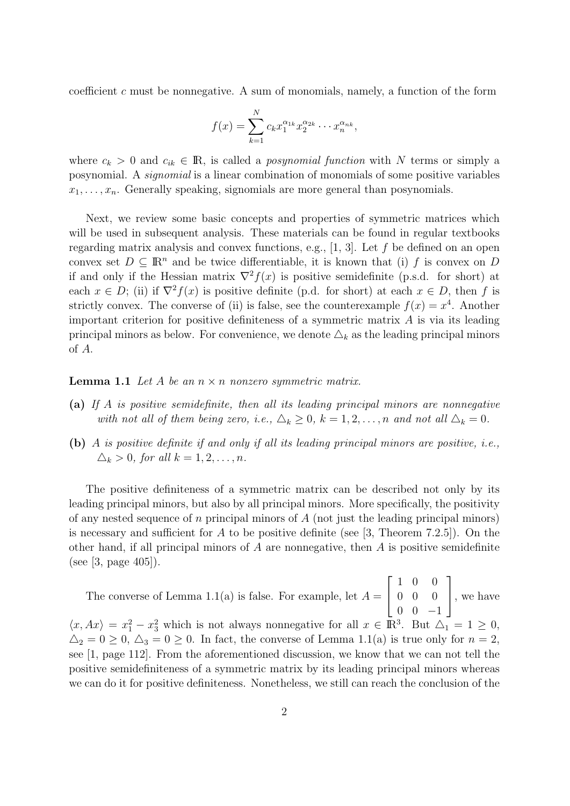coefficient *c* must be nonnegative. A sum of monomials, namely, a function of the form

$$
f(x) = \sum_{k=1}^{N} c_k x_1^{\alpha_{1k}} x_2^{\alpha_{2k}} \cdots x_n^{\alpha_{nk}},
$$

where  $c_k > 0$  and  $c_{ik} \in \mathbb{R}$ , is called a *posynomial function* with *N* terms or simply a posynomial. A *signomial* is a linear combination of monomials of some positive variables  $x_1, \ldots, x_n$ . Generally speaking, signomials are more general than posynomials.

Next, we review some basic concepts and properties of symmetric matrices which will be used in subsequent analysis. These materials can be found in regular textbooks regarding matrix analysis and convex functions, e.g., [1, 3]. Let *f* be defined on an open convex set  $D \subseteq \mathbb{R}^n$  and be twice differentiable, it is known that (i) *f* is convex on *D* if and only if the Hessian matrix  $\nabla^2 f(x)$  is positive semidefinite (p.s.d. for short) at each  $x \in D$ ; (ii) if  $\nabla^2 f(x)$  is positive definite (p.d. for short) at each  $x \in D$ , then f is strictly convex. The converse of (ii) is false, see the counterexample  $f(x) = x^4$ . Another important criterion for positive definiteness of a symmetric matrix *A* is via its leading principal minors as below. For convenience, we denote  $\Delta_k$  as the leading principal minors of *A*.

**Lemma 1.1** *Let A be an*  $n \times n$  *nonzero symmetric matrix.* 

- **(a)** *If A is positive semidefinite, then all its leading principal minors are nonnegative with not all of them being zero, i.e.,*  $\Delta_k \geq 0$ ,  $k = 1, 2, ..., n$  *and not all*  $\Delta_k = 0$ .
- **(b)** *A is positive definite if and only if all its leading principal minors are positive, i.e.,*  $\Delta_k > 0$ *, for all*  $k = 1, 2, ..., n$ *.*

The positive definiteness of a symmetric matrix can be described not only by its leading principal minors, but also by all principal minors. More specifically, the positivity of any nested sequence of *n* principal minors of *A* (not just the leading principal minors) is necessary and sufficient for *A* to be positive definite (see [3, Theorem 7.2.5]). On the other hand, if all principal minors of *A* are nonnegative, then *A* is positive semidefinite (see [3, page 405]).

The converse of Lemma 1.1(a) is false. For example, let  $A =$  $\sqrt{ }$  $\overline{1}$ 1 0 0 0 0 0 0 0 *−*1  $\overline{1}$ , we have  $\langle x, Ax \rangle = x_1^2 - x_3^2$  which is not always nonnegative for all  $x \in \mathbb{R}^3$ . But  $\Delta_1 = 1 \ge 0$ ,  $\Delta_2 = 0 \geq 0$ ,  $\Delta_3 = 0 \geq 0$ . In fact, the converse of Lemma 1.1(a) is true only for  $n = 2$ , see [1, page 112]. From the aforementioned discussion, we know that we can not tell the positive semidefiniteness of a symmetric matrix by its leading principal minors whereas we can do it for positive definiteness. Nonetheless, we still can reach the conclusion of the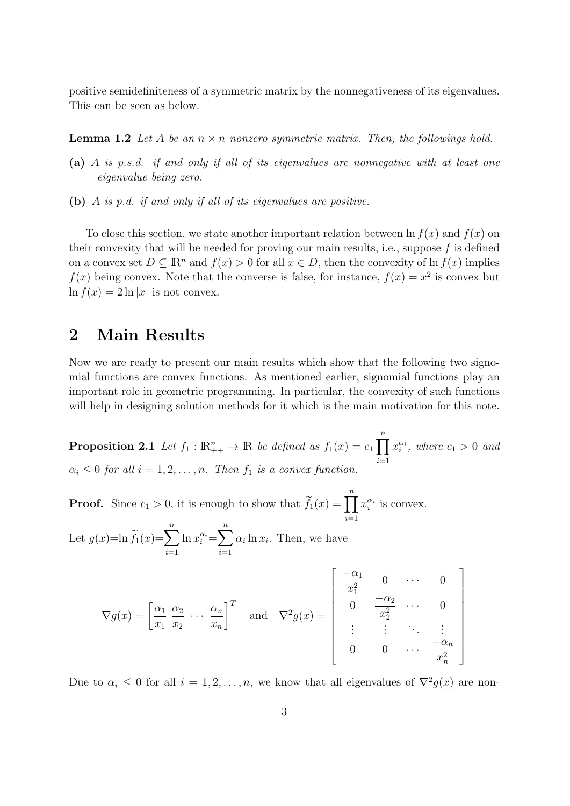positive semidefiniteness of a symmetric matrix by the nonnegativeness of its eigenvalues. This can be seen as below.

**Lemma 1.2** *Let A be an n × n nonzero symmetric matrix. Then, the followings hold.*

- **(a)** *A is p.s.d. if and only if all of its eigenvalues are nonnegative with at least one eigenvalue being zero.*
- **(b)** *A is p.d. if and only if all of its eigenvalues are positive.*

To close this section, we state another important relation between  $\ln f(x)$  and  $f(x)$  on their convexity that will be needed for proving our main results, i.e., suppose *f* is defined on a convex set  $D \subseteq \mathbb{R}^n$  and  $f(x) > 0$  for all  $x \in D$ , then the convexity of  $\ln f(x)$  implies  $f(x)$  being convex. Note that the converse is false, for instance,  $f(x) = x^2$  is convex but  $\ln f(x) = 2 \ln |x|$  is not convex.

## **2 Main Results**

Now we are ready to present our main results which show that the following two signomial functions are convex functions. As mentioned earlier, signomial functions play an important role in geometric programming. In particular, the convexity of such functions will help in designing solution methods for it which is the main motivation for this note.

**Proposition 2.1** *Let*  $f_1$  :  $\mathbb{R}_{++}^n \to \mathbb{R}$  *be defined as*  $f_1(x) = c_1$ ∏*n i*=1  $x_i^{\alpha_i}$ , where  $c_1 > 0$  and  $\alpha_i \leq 0$  *for all*  $i = 1, 2, \ldots, n$ *. Then*  $f_1$  *is a convex function.* 

**Proof.** Since  $c_1 > 0$ , it is enough to show that  $\widetilde{f}_1(x) = \prod^n x_i^{\alpha_i}$  is convex. *i*=1

Let  $g(x) = \ln \widetilde{f}_1(x) = \sum^n \ln x_i^{\alpha_i} = \sum^n \alpha_i \ln x_i$ . Then, we have *i*=1 *i*=1

$$
\nabla g(x) = \begin{bmatrix} \frac{\alpha_1}{x_1} & \frac{\alpha_2}{x_2} & \cdots & \frac{\alpha_n}{x_n} \end{bmatrix}^T \quad \text{and} \quad \nabla^2 g(x) = \begin{bmatrix} \frac{-\alpha_1}{x_1^2} & 0 & \cdots & 0 \\ 0 & \frac{-\alpha_2}{x_2^2} & \cdots & 0 \\ \vdots & \vdots & \ddots & \vdots \\ 0 & 0 & \cdots & \frac{-\alpha_n}{x_n^2} \end{bmatrix}
$$

Due to  $\alpha_i \leq 0$  for all  $i = 1, 2, \ldots, n$ , we know that all eigenvalues of  $\nabla^2 g(x)$  are non-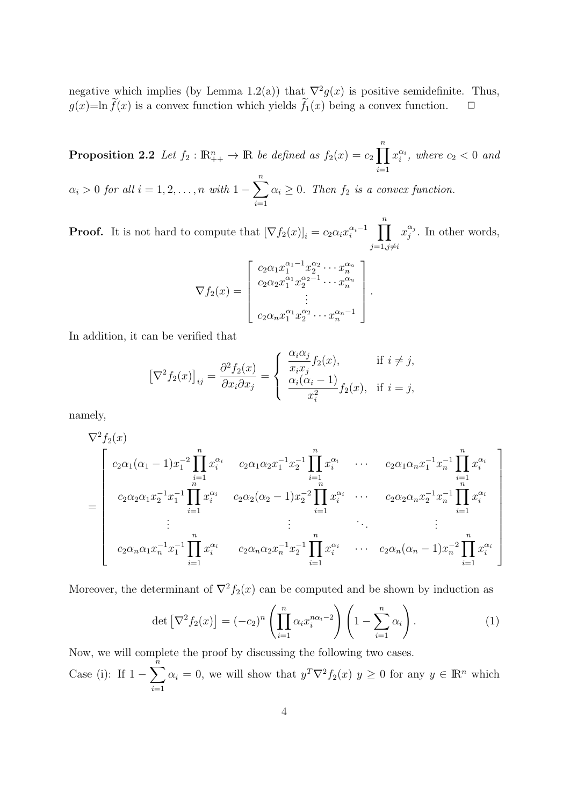negative which implies (by Lemma 1.2(a)) that  $\nabla^2 g(x)$  is positive semidefinite. Thus,  $g(x) = \ln \tilde{f}(x)$  is a convex function which yields  $\tilde{f}_1(x)$  being a convex function.  $\Box$ 

**Proposition 2.2** *Let*  $f_2$ :  $\mathbb{R}_{++}^n \to \mathbb{R}$  *be defined as*  $f_2(x) = c_2$ ∏*n i*=1  $x_i^{\alpha_i}$ , where  $c_2 < 0$  and *α<sup>i</sup> >* 0 *for all i* = 1*,* 2*, . . . , n with* 1 *−* ∑*n i*=1  $\alpha_i \geq 0$ *. Then*  $f_2$  *is a convex function.* 

**Proof.** It is not hard to compute that  $[\nabla f_2(x)]_i = c_2 \alpha_i x_i^{\alpha_i - 1}$   $\prod^n$  $j=1, j\neq i$  $x_i^{\alpha_j}$  $\int_j^{\alpha_j}$ . In other words,

$$
\nabla f_2(x) = \begin{bmatrix} c_2 \alpha_1 x_1^{\alpha_1 - 1} x_2^{\alpha_2} \cdots x_n^{\alpha_n} \\ c_2 \alpha_2 x_1^{\alpha_1} x_2^{\alpha_2 - 1} \cdots x_n^{\alpha_n} \\ \vdots \\ c_2 \alpha_n x_1^{\alpha_1} x_2^{\alpha_2} \cdots x_n^{\alpha_n - 1} \end{bmatrix}.
$$

In addition, it can be verified that

$$
\left[\nabla^2 f_2(x)\right]_{ij} = \frac{\partial^2 f_2(x)}{\partial x_i \partial x_j} = \begin{cases} \frac{\alpha_i \alpha_j}{x_i x_j} f_2(x), & \text{if } i \neq j, \\ \frac{\alpha_i (\alpha_i - 1)}{x_i^2} f_2(x), & \text{if } i = j, \end{cases}
$$

namely,

$$
\nabla^{2} f_{2}(x)
$$
\n
$$
= \begin{bmatrix}\nc_{2}\alpha_{1}(\alpha_{1}-1)x_{1}^{-2}\prod_{i=1}^{n}x_{i}^{\alpha_{i}} & c_{2}\alpha_{1}\alpha_{2}x_{1}^{-1}x_{2}^{-1}\prod_{i=1}^{n}x_{i}^{\alpha_{i}} & \cdots & c_{2}\alpha_{1}\alpha_{n}x_{1}^{-1}x_{n}^{-1}\prod_{i=1}^{n}x_{i}^{\alpha_{i}} \\
c_{2}\alpha_{2}\alpha_{1}x_{2}^{-1}x_{1}^{-1}\prod_{i=1}^{n}x_{i}^{\alpha_{i}} & c_{2}\alpha_{2}(\alpha_{2}-1)x_{2}^{-2}\prod_{i=1}^{n}x_{i}^{\alpha_{i}} & \cdots & c_{2}\alpha_{2}\alpha_{n}x_{2}^{-1}x_{n}^{-1}\prod_{i=1}^{n}x_{i}^{\alpha_{i}} \\
\vdots & \vdots & \ddots & \vdots \\
c_{2}\alpha_{n}\alpha_{1}x_{n}^{-1}x_{1}^{-1}\prod_{i=1}^{n}x_{i}^{\alpha_{i}} & c_{2}\alpha_{n}\alpha_{2}x_{n}^{-1}x_{2}^{-1}\prod_{i=1}^{n}x_{i}^{\alpha_{i}} & \cdots & c_{2}\alpha_{n}(\alpha_{n}-1)x_{n}^{-2}\prod_{i=1}^{n}x_{i}^{\alpha_{i}}\n\end{bmatrix}
$$

Moreover, the determinant of  $\nabla^2 f_2(x)$  can be computed and be shown by induction as

$$
\det\left[\nabla^2 f_2(x)\right] = (-c_2)^n \left(\prod_{i=1}^n \alpha_i x_i^{n\alpha_i - 2}\right) \left(1 - \sum_{i=1}^n \alpha_i\right). \tag{1}
$$

Now, we will complete the proof by discussing the following two cases.

Case (i): If 1 *−* ∑*n i*=1  $\alpha_i = 0$ , we will show that  $y^T \nabla^2 f_2(x)$   $y \ge 0$  for any  $y \in \mathbb{R}^n$  which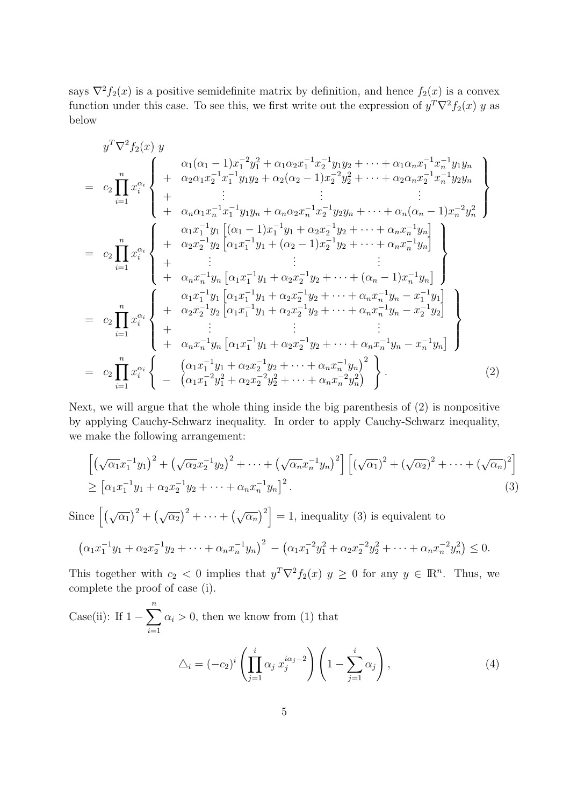says  $\nabla^2 f_2(x)$  is a positive semidefinite matrix by definition, and hence  $f_2(x)$  is a convex function under this case. To see this, we first write out the expression of  $y^T \nabla^2 f_2(x)$  *y* as below

$$
y^T \nabla^2 f_2(x) y
$$
\n
$$
= c_2 \prod_{i=1}^n x_i^{\alpha_i} \left\{ \begin{array}{c} \alpha_1(\alpha_1 - 1)x_1^{-2}y_1^2 + \alpha_1 \alpha_2 x_1^{-1}x_2^{-1}y_1y_2 + \cdots + \alpha_1 \alpha_n x_1^{-1}x_n^{-1}y_1y_n \\ + \alpha_2 \alpha_1 x_2^{-1}x_1^{-1}y_1y_2 + \alpha_2(\alpha_2 - 1)x_2^{-2}y_2^2 + \cdots + \alpha_2 \alpha_n x_2^{-1}x_n^{-1}y_2y_n \\ + \vdots & \vdots & \vdots \\ + \alpha_n \alpha_1 x_n^{-1}x_1^{-1}y_1y_n + \alpha_n \alpha_2 x_n^{-1}x_2^{-1}y_2y_n + \cdots + \alpha_n(\alpha_n - 1)x_n^{-2}y_n^2 \end{array} \right\}
$$
\n
$$
= c_2 \prod_{i=1}^n x_i^{\alpha_i} \left\{ \begin{array}{c} \alpha_1 x_1^{-1}y_1 \left[ (\alpha_1 - 1)x_1^{-1}y_1 + \alpha_2 x_2^{-1}y_2 + \cdots + \alpha_n x_n^{-1}y_n \right] \\ + \alpha_2 x_2^{-1}y_2 \left[ \alpha_1 x_1^{-1}y_1 + (\alpha_2 - 1)x_2^{-1}y_2 + \cdots + \alpha_n x_n^{-1}y_n \right] \\ + \vdots & \vdots & \vdots \\ + \alpha_n x_n^{-1}y_n \left[ \alpha_1 x_1^{-1}y_1 + \alpha_2 x_2^{-1}y_2 + \cdots + (\alpha_n - 1)x_n^{-1}y_n \right] \end{array} \right\}
$$
\n
$$
= c_2 \prod_{i=1}^n x_i^{\alpha_i} \left\{ \begin{array}{c} \alpha_1 x_1^{-1}y_1 \left[ \alpha_1 x_1^{-1}y_1 + \alpha_2 x_2^{-1}y_2 + \cdots + \alpha_n x_n^{-1}y_n - x_1^{-1}y_1 \right] \\ + \alpha_n x_n^{-1}y_n \left[ \alpha_1 x_1^{-1}y_1 + \alpha_2 x_2^{-1}y_2 + \cdots + \alpha_n x_n^{-1}y_n - x_2^{-1}y_2 \right] \\ + \alpha_n x_n^{-1}y_n \left[ \alpha
$$

Next, we will argue that the whole thing inside the big parenthesis of (2) is nonpositive by applying Cauchy-Schwarz inequality. In order to apply Cauchy-Schwarz inequality, we make the following arrangement:

$$
\begin{aligned}\n&\left[\left(\sqrt{\alpha_1}x_1^{-1}y_1\right)^2 + \left(\sqrt{\alpha_2}x_2^{-1}y_2\right)^2 + \dots + \left(\sqrt{\alpha_n}x_n^{-1}y_n\right)^2\right] \left[\left(\sqrt{\alpha_1}\right)^2 + \left(\sqrt{\alpha_2}\right)^2 + \dots + \left(\sqrt{\alpha_n}\right)^2\right] \\
&\geq \left[\alpha_1x_1^{-1}y_1 + \alpha_2x_2^{-1}y_2 + \dots + \alpha_nx_n^{-1}y_n\right]^2.\n\end{aligned} \tag{3}
$$

Since  $[(\sqrt{\alpha_1})^2 + (\sqrt{\alpha_2})^2 + \cdots + (\sqrt{\alpha_n})^2] = 1$ , inequality (3) is equivalent to

$$
(\alpha_1 x_1^{-1} y_1 + \alpha_2 x_2^{-1} y_2 + \dots + \alpha_n x_n^{-1} y_n)^2 - (\alpha_1 x_1^{-2} y_1^2 + \alpha_2 x_2^{-2} y_2^2 + \dots + \alpha_n x_n^{-2} y_n^2) \le 0.
$$

This together with  $c_2 < 0$  implies that  $y^T \nabla^2 f_2(x)$   $y \ge 0$  for any  $y \in \mathbb{R}^n$ . Thus, we complete the proof of case (i).

Case(ii): If 
$$
1 - \sum_{i=1}^{n} \alpha_i > 0
$$
, then we know from (1) that  
\n
$$
\Delta_i = (-c_2)^i \left( \prod_{j=1}^{i} \alpha_j x_j^{i\alpha_j - 2} \right) \left( 1 - \sum_{j=1}^{i} \alpha_j \right), \tag{4}
$$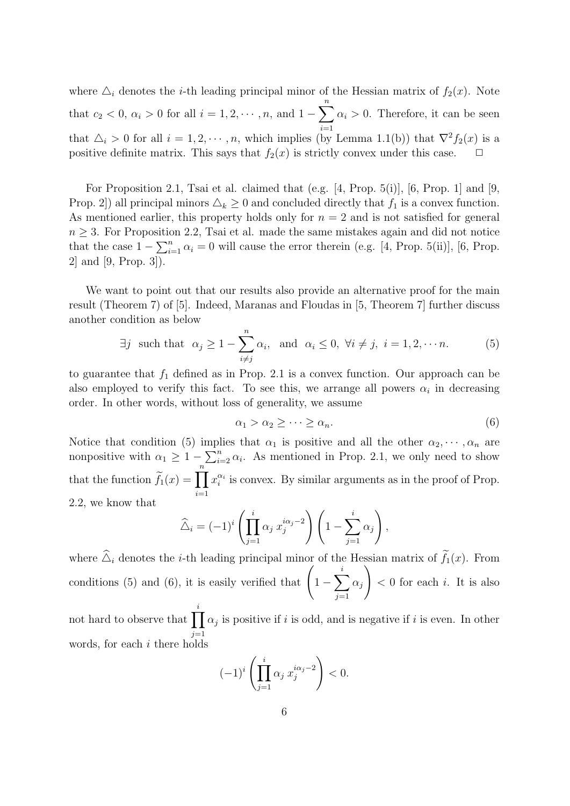where  $\Delta_i$  denotes the *i*-th leading principal minor of the Hessian matrix of  $f_2(x)$ . Note that  $c_2 < 0$ ,  $\alpha_i > 0$  for all  $i = 1, 2, \dots, n$ , and 1 − ∑*n i*=1  $\alpha_i > 0$ . Therefore, it can be seen that  $\Delta_i > 0$  for all  $i = 1, 2, \dots, n$ , which implies (by Lemma 1.1(b)) that  $\nabla^2 f_2(x)$  is a positive definite matrix. This says that  $f_2(x)$  is strictly convex under this case.

For Proposition 2.1, Tsai et al. claimed that (e.g. [4, Prop. 5(i)], [6, Prop. 1] and [9, Prop. 2]) all principal minors  $\Delta_k \geq 0$  and concluded directly that  $f_1$  is a convex function. As mentioned earlier, this property holds only for  $n = 2$  and is not satisfied for general  $n \geq 3$ . For Proposition 2.2, Tsai et al. made the same mistakes again and did not notice that the case  $1 - \sum_{i=1}^{n} \alpha_i = 0$  will cause the error therein (e.g. [4, Prop. 5(ii)], [6, Prop. 2] and [9, Prop. 3]).

We want to point out that our results also provide an alternative proof for the main result (Theorem 7) of [5]. Indeed, Maranas and Floudas in [5, Theorem 7] further discuss another condition as below

$$
\exists j \text{ such that } \alpha_j \ge 1 - \sum_{i \ne j}^n \alpha_i, \text{ and } \alpha_i \le 0, \forall i \ne j, i = 1, 2, \cdots n.
$$
 (5)

to guarantee that  $f_1$  defined as in Prop. 2.1 is a convex function. Our approach can be also employed to verify this fact. To see this, we arrange all powers  $\alpha_i$  in decreasing order. In other words, without loss of generality, we assume

$$
\alpha_1 > \alpha_2 \ge \cdots \ge \alpha_n. \tag{6}
$$

Notice that condition (5) implies that  $\alpha_1$  is positive and all the other  $\alpha_2, \dots, \alpha_n$  are nonpositive with  $\alpha_1 \geq 1 - \sum_{i=2}^n \alpha_i$ . As mentioned in Prop. 2.1, we only need to show that the function  $\widetilde{f}_1(x) = \prod^n$ *i*=1  $x_i^{\alpha_i}$  is convex. By similar arguments as in the proof of Prop. 2.2, we know that

$$
\widehat{\triangle}_i = (-1)^i \left( \prod_{j=1}^i \alpha_j x_j^{i\alpha_j - 2} \right) \left( 1 - \sum_{j=1}^i \alpha_j \right),
$$

where  $\hat{\Delta}_i$  denotes the *i*-th leading principal minor of the Hessian matrix of  $\tilde{f}_1(x)$ . From conditions (5) and (6), it is easily verified that  $\left(1 - \sum_{i=1}^{i} x_i\right)$ *j*=1 *αj*  $\setminus$ *<* 0 for each *i*. It is also

not hard to observe that  $\prod_i$ *j*=1  $\alpha_j$  is positive if *i* is odd, and is negative if *i* is even. In other words, for each *i* there holds

$$
(-1)^i \left(\prod_{j=1}^i \alpha_j x_j^{i\alpha_j - 2}\right) < 0.
$$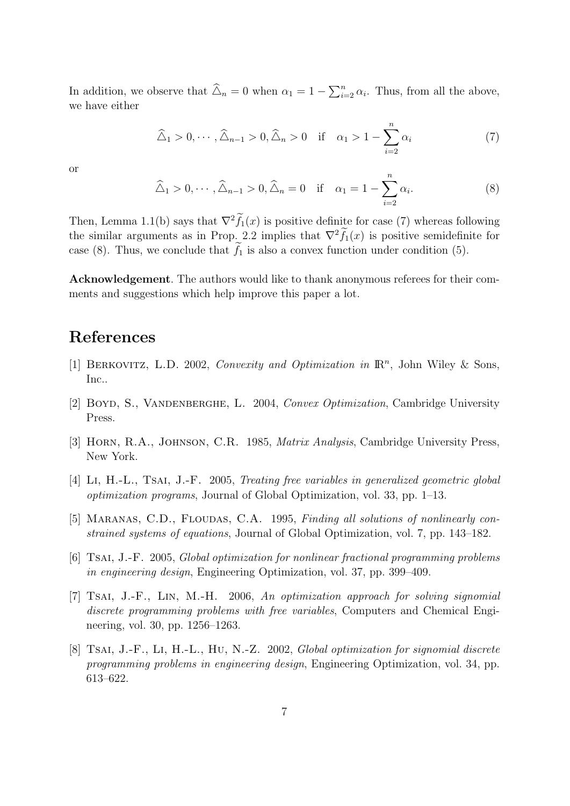In addition, we observe that  $\widehat{\Delta}_n = 0$  when  $\alpha_1 = 1 - \sum_{i=2}^n \alpha_i$ . Thus, from all the above, we have either

$$
\widehat{\Delta}_1 > 0, \cdots, \widehat{\Delta}_{n-1} > 0, \widehat{\Delta}_n > 0 \quad \text{if} \quad \alpha_1 > 1 - \sum_{i=2}^n \alpha_i \tag{7}
$$

or

$$
\widehat{\Delta}_1 > 0, \cdots, \widehat{\Delta}_{n-1} > 0, \widehat{\Delta}_n = 0 \quad \text{if} \quad \alpha_1 = 1 - \sum_{i=2}^n \alpha_i. \tag{8}
$$

Then, Lemma 1.1(b) says that  $\nabla^2 f_1(x)$  is positive definite for case (7) whereas following the similar arguments as in Prop. 2.2 implies that  $\nabla^2 f_1(x)$  is positive semidefinite for case (8). Thus, we conclude that  $\tilde{f}_1$  is also a convex function under condition (5).

**Acknowledgement**. The authors would like to thank anonymous referees for their comments and suggestions which help improve this paper a lot.

## **References**

- [1] BERKOVITZ, L.D. 2002, *Convexity and Optimization in*  $\mathbb{R}^n$ , John Wiley & Sons, Inc..
- [2] Boyd, S., Vandenberghe, L. 2004, *Convex Optimization*, Cambridge University Press.
- [3] Horn, R.A., Johnson, C.R. 1985, *Matrix Analysis*, Cambridge University Press, New York.
- [4] Li, H.-L., Tsai, J.-F. 2005, *Treating free variables in generalized geometric global optimization programs*, Journal of Global Optimization, vol. 33, pp. 1–13.
- [5] MARANAS, C.D., FLOUDAS, C.A. 1995, *Finding all solutions of nonlinearly constrained systems of equations*, Journal of Global Optimization, vol. 7, pp. 143–182.
- [6] Tsai, J.-F. 2005, *Global optimization for nonlinear fractional programming problems in engineering design*, Engineering Optimization, vol. 37, pp. 399–409.
- [7] Tsai, J.-F., Lin, M.-H. 2006, *An optimization approach for solving signomial discrete programming problems with free variables*, Computers and Chemical Engineering, vol. 30, pp. 1256–1263.
- [8] Tsai, J.-F., Li, H.-L., Hu, N.-Z. 2002, *Global optimization for signomial discrete programming problems in engineering design*, Engineering Optimization, vol. 34, pp. 613–622.